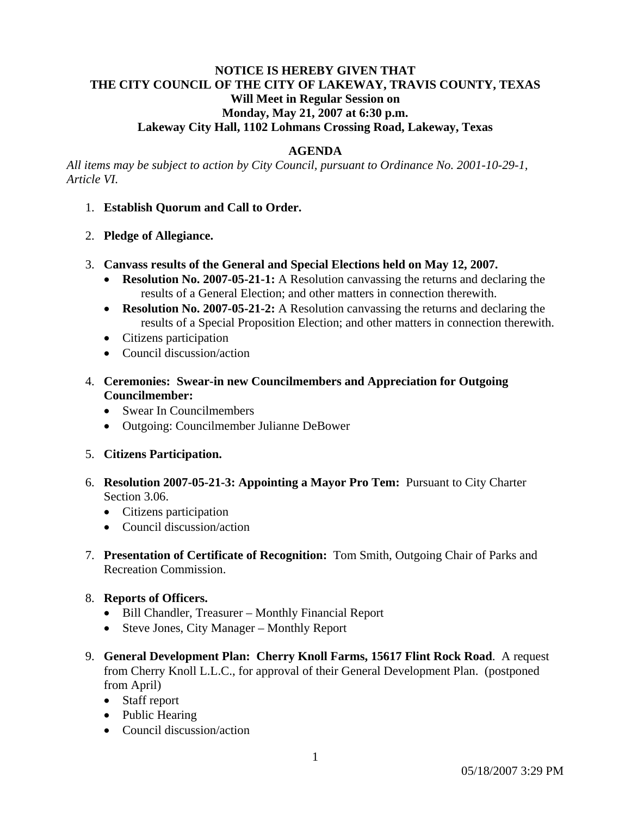## **NOTICE IS HEREBY GIVEN THAT THE CITY COUNCIL OF THE CITY OF LAKEWAY, TRAVIS COUNTY, TEXAS Will Meet in Regular Session on Monday, May 21, 2007 at 6:30 p.m. Lakeway City Hall, 1102 Lohmans Crossing Road, Lakeway, Texas**

## **AGENDA**

*All items may be subject to action by City Council, pursuant to Ordinance No. 2001-10-29-1, Article VI.* 

- 1. **Establish Quorum and Call to Order.**
- 2. **Pledge of Allegiance.**
- 3. **Canvass results of the General and Special Elections held on May 12, 2007.** 
	- **Resolution No. 2007-05-21-1:** A Resolution canvassing the returns and declaring the results of a General Election; and other matters in connection therewith.
	- **Resolution No. 2007-05-21-2:** A Resolution canvassing the returns and declaring the results of a Special Proposition Election; and other matters in connection therewith.
	- Citizens participation
	- Council discussion/action
- 4. **Ceremonies: Swear-in new Councilmembers and Appreciation for Outgoing Councilmember:** 
	- Swear In Councilmembers
	- Outgoing: Councilmember Julianne DeBower
- 5. **Citizens Participation.**
- 6. **Resolution 2007-05-21-3: Appointing a Mayor Pro Tem:** Pursuant to City Charter Section 3.06.
	- Citizens participation
	- Council discussion/action
- 7. **Presentation of Certificate of Recognition:** Tom Smith, Outgoing Chair of Parks and Recreation Commission.

#### 8. **Reports of Officers.**

- Bill Chandler, Treasurer Monthly Financial Report
- Steve Jones, City Manager Monthly Report
- 9. **General Development Plan: Cherry Knoll Farms, 15617 Flint Rock Road**. A request from Cherry Knoll L.L.C., for approval of their General Development Plan. (postponed from April)
	- Staff report
	- Public Hearing
	- Council discussion/action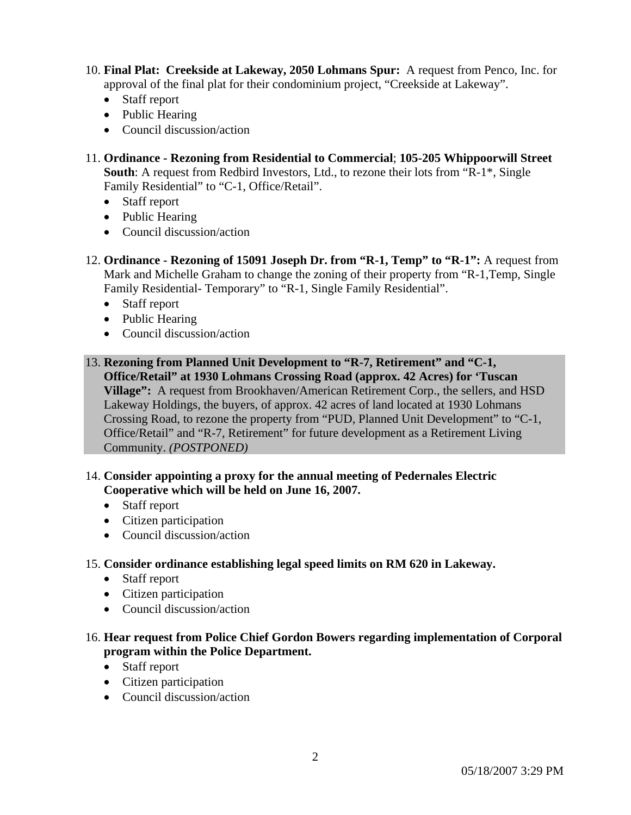- 10. **Final Plat: Creekside at Lakeway, 2050 Lohmans Spur:** A request from Penco, Inc. for approval of the final plat for their condominium project, "Creekside at Lakeway".
	- Staff report
	- Public Hearing
	- Council discussion/action
- 11. **Ordinance Rezoning from Residential to Commercial**; **105-205 Whippoorwill Street South**: A request from Redbird Investors, Ltd., to rezone their lots from "R-1\*, Single Family Residential" to "C-1, Office/Retail".
	- Staff report
	- Public Hearing
	- Council discussion/action
- 12. **Ordinance Rezoning of 15091 Joseph Dr. from "R-1, Temp" to "R-1":** A request from Mark and Michelle Graham to change the zoning of their property from "R-1,Temp, Single Family Residential- Temporary" to "R-1, Single Family Residential".
	- Staff report
	- Public Hearing
	- Council discussion/action
- 13. **Rezoning from Planned Unit Development to "R-7, Retirement" and "C-1, Office/Retail" at 1930 Lohmans Crossing Road (approx. 42 Acres) for 'Tuscan Village":** A request from Brookhaven/American Retirement Corp., the sellers, and HSD Lakeway Holdings, the buyers, of approx. 42 acres of land located at 1930 Lohmans Crossing Road, to rezone the property from "PUD, Planned Unit Development" to "C-1, Office/Retail" and "R-7, Retirement" for future development as a Retirement Living Community. *(POSTPONED)*

# 14. **Consider appointing a proxy for the annual meeting of Pedernales Electric Cooperative which will be held on June 16, 2007.**

- Staff report
- Citizen participation
- Council discussion/action

# 15. **Consider ordinance establishing legal speed limits on RM 620 in Lakeway.**

- Staff report
- Citizen participation
- Council discussion/action

# 16. **Hear request from Police Chief Gordon Bowers regarding implementation of Corporal program within the Police Department.**

- Staff report
- Citizen participation
- Council discussion/action